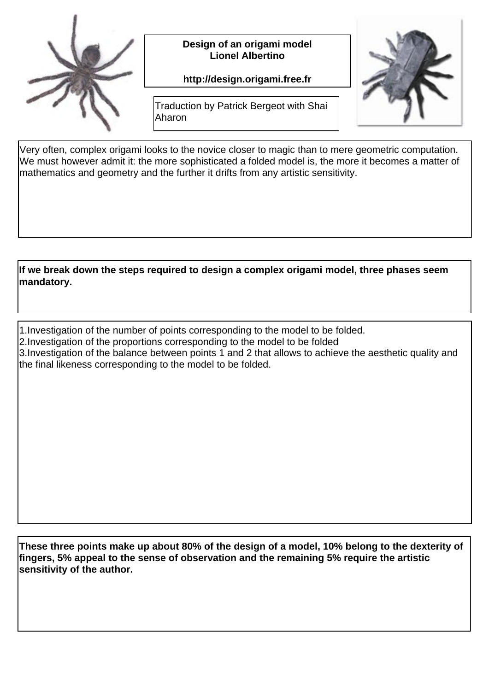

Design of an origami model **Lionel Albertino** 

http://design.origami.free.fr



Traduction by Patrick Bergeot with Shai Aharon

Very often, complex origami looks to the novice closer to magic than to mere geometric computation. We must however admit it: the more sophisticated a folded model is, the more it becomes a matter of mathematics and geometry and the further it drifts from any artistic sensitivity.

If we break down the steps required to design a complex origami model, three phases seem mandatory.

- 1. Investigation of the number of points corresponding to the model to be folded.
- 2. Investigation of the proportions corresponding to the model to be folded
- 3. Investigation of the balance between points 1 and 2 that allows to achieve the aesthetic quality and the final likeness corresponding to the model to be folded.

These three points make up about 80% of the design of a model, 10% belong to the dexterity of fingers, 5% appeal to the sense of observation and the remaining 5% require the artistic sensitivity of the author.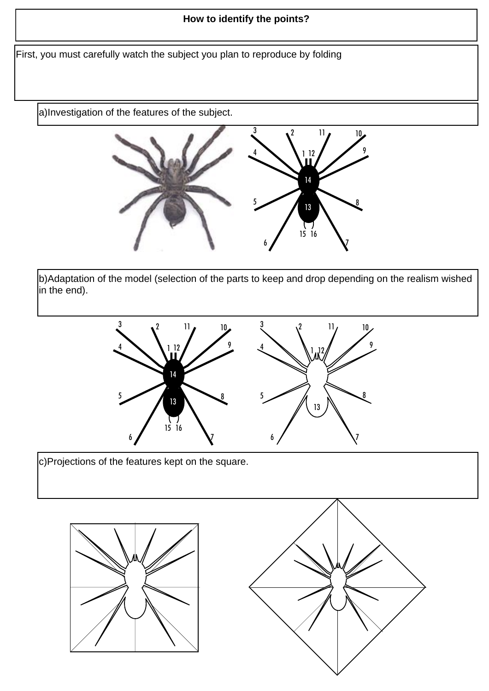## How to identify the points?

First, you must carefully watch the subject you plan to reproduce by folding

a) Investigation of the features of the subject.



b) Adaptation of the model (selection of the parts to keep and drop depending on the realism wished in the end).



c) Projections of the features kept on the square.



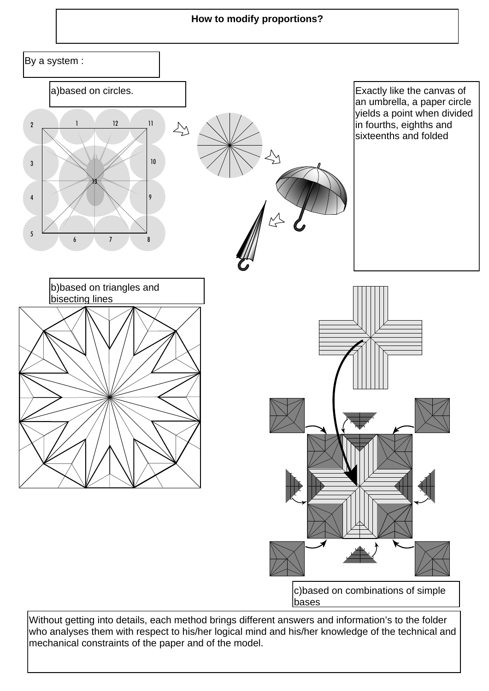## How to modify proportions?



Without getting into details, each method brings different answers and information's to the folder who analyses them with respect to his/her logical mind and his/her knowledge of the technical and mechanical constraints of the paper and of the model.